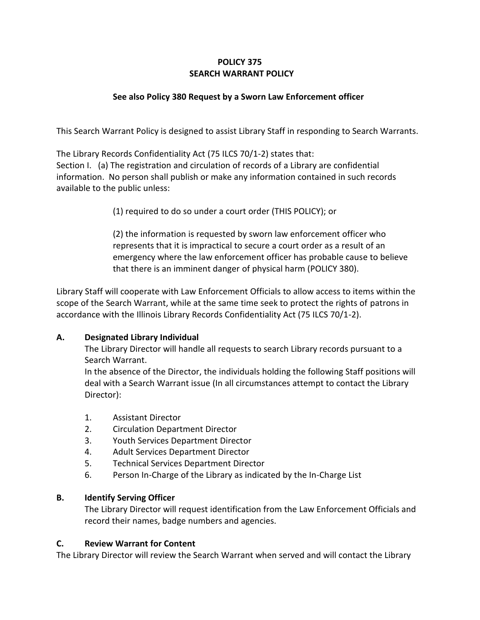# **POLICY 375 SEARCH WARRANT POLICY**

# **See also Policy 380 Request by a Sworn Law Enforcement officer**

This Search Warrant Policy is designed to assist Library Staff in responding to Search Warrants.

The Library Records Confidentiality Act (75 ILCS 70/1-2) states that: Section I. (a) The registration and circulation of records of a Library are confidential information. No person shall publish or make any information contained in such records available to the public unless:

(1) required to do so under a court order (THIS POLICY); or

(2) the information is requested by sworn law enforcement officer who represents that it is impractical to secure a court order as a result of an emergency where the law enforcement officer has probable cause to believe that there is an imminent danger of physical harm (POLICY 380).

Library Staff will cooperate with Law Enforcement Officials to allow access to items within the scope of the Search Warrant, while at the same time seek to protect the rights of patrons in accordance with the Illinois Library Records Confidentiality Act (75 ILCS 70/1-2).

### **A. Designated Library Individual**

The Library Director will handle all requests to search Library records pursuant to a Search Warrant.

In the absence of the Director, the individuals holding the following Staff positions will deal with a Search Warrant issue (In all circumstances attempt to contact the Library Director):

- 1. Assistant Director
- 2. Circulation Department Director
- 3. Youth Services Department Director
- 4. Adult Services Department Director
- 5. Technical Services Department Director
- 6. Person In-Charge of the Library as indicated by the In-Charge List

### **B. Identify Serving Officer**

The Library Director will request identification from the Law Enforcement Officials and record their names, badge numbers and agencies.

### **C. Review Warrant for Content**

The Library Director will review the Search Warrant when served and will contact the Library